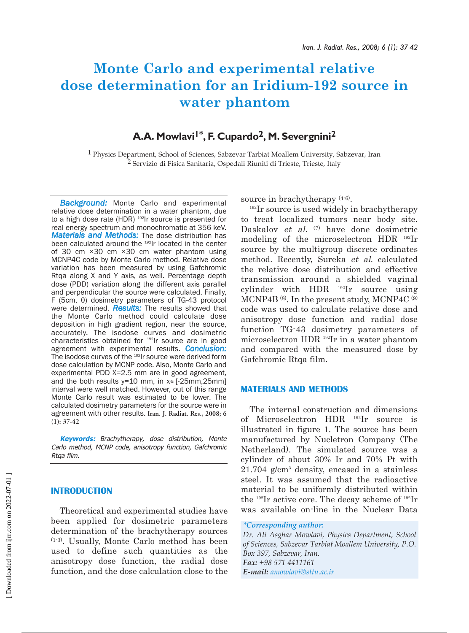# **Monte Carlo and experimental relative dose determination for an Iridium-192 source in water phantom**

# A.A. Mowlavi<sup>1\*</sup>, F. Cupardo<sup>2</sup>, M. Severgnini<sup>2</sup>

1 Physics Department, School of Sciences, Sabzevar Tarbiat Moallem University, Sabzevar, Iran <sup>2</sup> Servizio di Fisica Sanitaria, Ospedali Riuniti di Trieste, Trieste, Italy

*Background:* Monte Carlo and experimental relative dose determination in a water phantom, due to a high dose rate (HDR) <sup>192</sup>Ir source is presented for real energy spectrum and monochromatic at 356 keV. *Materials and Methods:* The dose distribution has been calculated around the <sup>192</sup>Ir located in the center of 30 cm ×30 cm ×30 cm water phantom using MCNP4C code by Monte Carlo method. Relative dose variation has been measured by using Gafchromic Rtqa along X and Y axis, as well. Percentage depth dose (PDD) variation along the different axis parallel and perpendicular the source were calculated. Finally, F (5cm, θ) dosimetry parameters of TG-43 protocol were determined. *Results:* The results showed that the Monte Carlo method could calculate dose deposition in high gradient region, near the source, accurately. The isodose curves and dosimetric characteristics obtained for 192Ir source are in good agreement with experimental results. *Conclusion:* The isodose curves of the <sup>192</sup>Ir source were derived form dose calculation by MCNP code. Also, Monte Carlo and experimental PDD X=2.5 mm are in good agreement, and the both results  $y=10$  mm, in  $x \in [-25$ mm,25mm] interval were well matched. However, out of this range Monte Carlo result was estimated to be lower. The calculated dosimetry parameters for the source were in agreement with other results. **Iran. J. Radiat. Res., 2008; 6 (1): 37-42**

**Keywords:** Brachytherapy, dose distribution, Monte Carlo method, MCNP code, anisotropy function, Gafchromic Rtqa film.

## **INTRODUCTION**

Theoretical and experimental studies have been applied for dosimetric parameters determination of the brachytherapy sources (1-3). Usually, Monte Carlo method has been used to define such quantities as the anisotropy dose function, the radial dose function, and the dose calculation close to the

source in brachytherapy (4-6).

<sup>192</sup>Ir source is used widely in brachytherapy to treat localized tumors near body site. Daskalov et al. (7) have done dosimetric modeling of the microselectron HDR 192Ir source by the multigroup discrete ordinates method. Recently, Sureka et al. calculated the relative dose distribution and effective transmission around a shielded vaginal cylinder with HDR 192Ir source using MCNP4B (8). In the present study, MCNP4C (9) code was used to calculate relative dose and anisotropy dose function and radial dose function TG-43 dosimetry parameters of microselectron HDR 192Ir in a water phantom and compared with the measured dose by Gafchromic Rtqa film.

#### **MATERIALS AND METHODS**

The internal construction and dimensions of Microselectron HDR 192Ir source is illustrated in figure 1. The source has been manufactured by Nucletron Company (The Netherland). The simulated source was a cylinder of about 30% Ir and 70% Pt with 21.704 g/cm3 density, encased in a stainless steel. It was assumed that the radioactive material to be uniformly distributed within the 192Ir active core. The decay scheme of 192Ir was available on-line in the Nuclear Data

```
*Corresponding author:
```
*Dr. Ali Asghar Mowlavi, Physics Department, School of Sciences, Sabzevar Tarbiat Moallem University, P.O. Box 397, Sabzevar, Iran. Fax: +98 571 4411161 E-mail: amowlavi@sttu.ac.ir*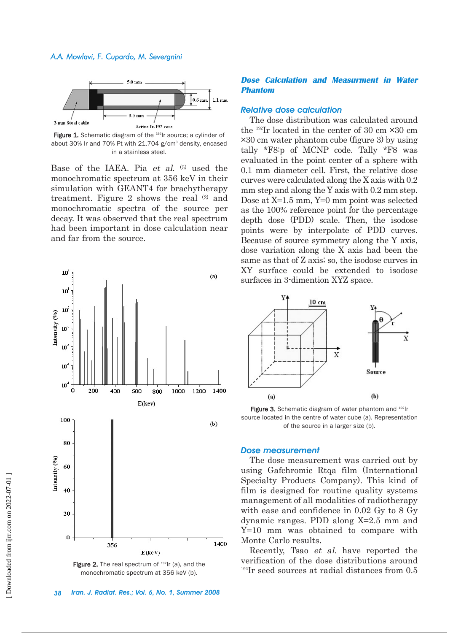

Figure 1. Schematic diagram of the <sup>192</sup>Ir source; a cylinder of about 30% Ir and 70% Pt with 21.704 g/cm<sup>3</sup> density, encased in a stainless steel.

Base of the IAEA. Pia et al. (5) used the monochromatic spectrum at 356 keV in their simulation with GEANT4 for brachytherapy treatment. Figure 2 shows the real (2) and monochromatic spectra of the source per decay. It was observed that the real spectrum had been important in dose calculation near and far from the source.



Figure 2. The real spectrum of  $192$ Ir (a), and the monochromatic spectrum at 356 keV (b).

#### **Dose Calculation and Measurment in Water Phantom**

#### *Relative dose calculation*

The dose distribution was calculated around the  $^{192}$ Ir located in the center of 30 cm  $\times$ 30 cm ×30 cm water phantom cube (figure 3) by using tally \*F8:p of MCNP code. Tally \*F8 was evaluated in the point center of a sphere with 0.1 mm diameter cell. First, the relative dose curves were calculated along the X axis with 0.2 mm step and along the Y axis with 0.2 mm step. Dose at X=1.5 mm, Y=0 mm point was selected as the 100% reference point for the percentage depth dose (PDD) scale. Then, the isodose points were by interpolate of PDD curves. Because of source symmetry along the Y axis, dose variation along the X axis had been the same as that of Z axis; so, the isodose curves in XY surface could be extended to isodose surfaces in 3-dimention XYZ space.



Figure 3. Schematic diagram of water phantom and 192Ir source located in the centre of water cube (a). Representation of the source in a larger size (b).

#### *Dose measurement*

The dose measurement was carried out by using Gafchromic Rtqa film (International Specialty Products Company). This kind of film is designed for routine quality systems management of all modalities of radiotherapy with ease and confidence in 0.02 Gy to 8 Gy dynamic ranges. PDD along X=2.5 mm and Y=10 mm was obtained to compare with Monte Carlo results.

Recently, Tsao et al. have reported the verification of the dose distributions around <sup>192</sup>Ir seed sources at radial distances from 0.5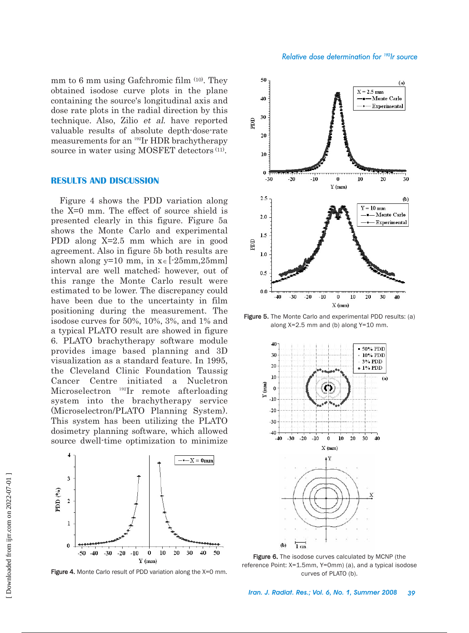mm to 6 mm using Gafchromic film (10). They obtained isodose curve plots in the plane containing the source's longitudinal axis and dose rate plots in the radial direction by this technique. Also, Zilio et al. have reported valuable results of absolute depth-dose-rate measurements for an 192Ir HDR brachytherapy source in water using MOSFET detectors (11).

#### **RESULTS AND DISCUSSION**

Figure 4 shows the PDD variation along the X=0 mm. The effect of source shield is presented clearly in this figure. Figure 5a shows the Monte Carlo and experimental PDD along X=2.5 mm which are in good agreement. Also in figure 5b both results are shown along y=10 mm, in  $x \in [-25 \text{mm}, 25 \text{mm}]$ interval are well matched; however, out of this range the Monte Carlo result were estimated to be lower. The discrepancy could have been due to the uncertainty in film positioning during the measurement. The isodose curves for 50%, 10%, 3%, and 1% and a typical PLATO result are showed in figure 6. PLATO brachytherapy software module provides image based planning and 3D visualization as a standard feature. In 1995, the Cleveland Clinic Foundation Taussig Cancer Centre initiated a Nucletron Microselectron 192Ir remote afterloading system into the brachytherapy service (Microselectron/PLATO Planning System). This system has been utilizing the PLATO dosimetry planning software, which allowed source dwell-time optimization to minimize



Figure 4. Monte Carlo result of PDD variation along the X=0 mm.



Figure 5. The Monte Carlo and experimental PDD results: (a) along X=2.5 mm and (b) along Y=10 mm.



Figure 6. The isodose curves calculated by MCNP (the reference Point: X=1.5mm, Y=0mm) (a), and a typical isodose curves of PLATO (b).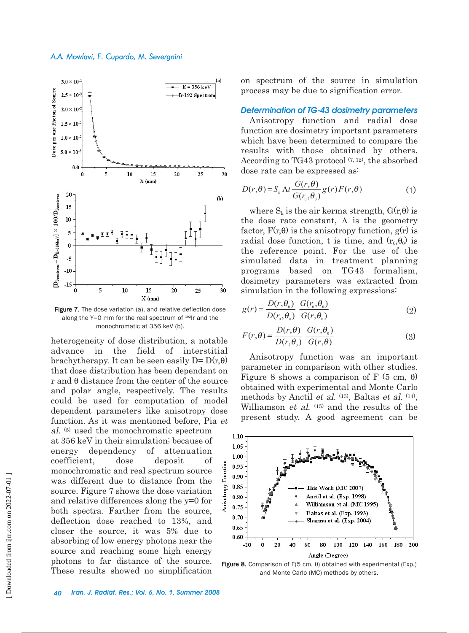

Figure 7. The dose variation (a), and relative deflection dose along the  $Y=0$  mm for the real spectrum of  $192$ Ir and the monochromatic at 356 keV (b).

heterogeneity of dose distribution, a notable advance in the field of interstitial brachytherapy. It can be seen easily  $D = D(r, \theta)$ that dose distribution has been dependant on r and θ distance from the center of the source and polar angle, respectively. The results could be used for computation of model dependent parameters like anisotropy dose function. As it was mentioned before, Pia et al. (5) used the monochromatic spectrum

at 356 keV in their simulation; because of energy dependency of attenuation coefficient, dose deposit of monochromatic and real spectrum source was different due to distance from the source. Figure 7 shows the dose variation and relative differences along the y=0 for both spectra. Farther from the source, deflection dose reached to 13%, and closer the source, it was 5% due to absorbing of low energy photons near the source and reaching some high energy photons to far distance of the source. These results showed no simplification on spectrum of the source in simulation process may be due to signification error.

### *Determination of TG-43 dosimetry parameters*

Anisotropy function and radial dose function are dosimetry important parameters which have been determined to compare the results with those obtained by others. According to TG43 protocol  $(7, 12)$ , the absorbed dose rate can be expressed as:

$$
D(r,\theta) = S_{k} \Delta t \frac{G(r,\theta)}{G(r_{0},\theta_{0})} g(r) F(r,\theta)
$$
 (1)

where  $S_k$  is the air kerma strength,  $G(r,\theta)$  is the dose rate constant,  $\Lambda$  is the geometry factor,  $F(r,\theta)$  is the anisotropy function,  $g(r)$  is radial dose function, t is time, and  $(r_0, \theta_0)$  is the reference point. For the use of the simulated data in treatment planning programs based on TG43 formalism, dosimetry parameters was extracted from simulation in the following expressions:

$$
g(r) = \frac{D(r, \theta_0)}{D(r_0, \theta_0)} \frac{G(r_0, \theta_0)}{G(r, \theta_0)}
$$
(2)

$$
F(r,\theta) = \frac{D(r,\theta)}{D(r,\theta_0)} \frac{G(r,\theta_0)}{G(r,\theta)}
$$
(3)

Anisotropy function was an important parameter in comparison with other studies. Figure 8 shows a comparison of F (5 cm,  $\theta$ ) obtained with experimental and Monte Carlo methods by Anctil et al. <sup>(13)</sup>, Baltas et al. <sup>(14)</sup>, Williamson *et al.* (15) and the results of the present study. A good agreement can be



Figure 8. Comparison of F(5 cm,  $θ$ ) obtained with experimental (Exp.) and Monte Carlo (MC) methods by others.